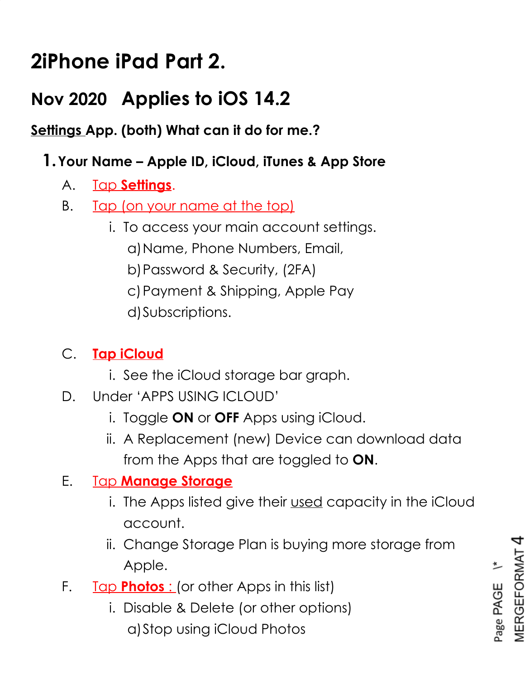# **2iPhone iPad Part 2.**

# **Nov 2020 Applies to iOS 14.2**

**Settings App. (both) What can it do for me.?**

#### **1.Your Name – Apple ID, iCloud, iTunes & App Store**

- A. Tap **Settings**.
- B. Tap (on your name at the top)
	- i. To access your main account settings.
		- a)Name, Phone Numbers, Email,
		- b)Password & Security, (2FA)
		- c)Payment & Shipping, Apple Pay
		- d)Subscriptions.

#### C. **Tap iCloud**

- i. See the iCloud storage bar graph.
- D. Under 'APPS USING ICLOUD'
	- i. Toggle **ON** or **OFF** Apps using iCloud.
	- ii. A Replacement (new) Device can download data from the Apps that are toggled to **ON**.

#### E. Tap **Manage Storage**

- i. The Apps listed give their used capacity in the iCloud account.
- ii. Change Storage Plan is buying more storage from Apple.
- F. Tap **Photos** : (or other Apps in this list)
	- i. Disable & Delete (or other options) a)Stop using iCloud Photos

**MERGEFORMAT** Page PAGE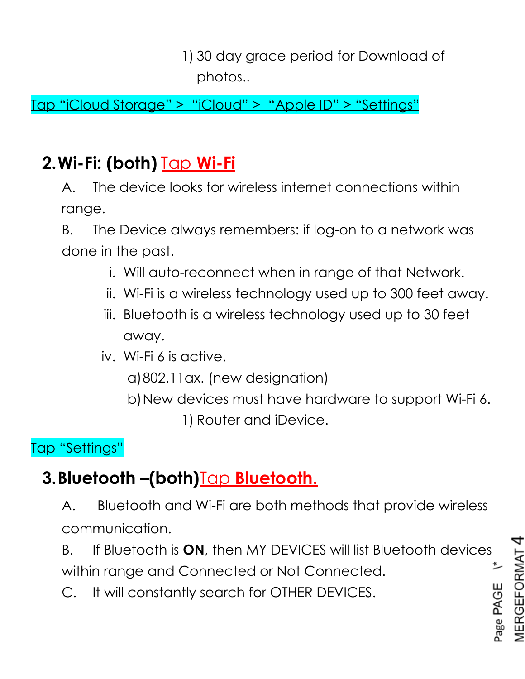1) 30 day grace period for Download of photos..

Tap "iCloud Storage" > "iCloud" > "Apple ID" > "Settings"

# **2.Wi-Fi: (both)** Tap **Wi-Fi**

A. The device looks for wireless internet connections within range.

B. The Device always remembers: if log-on to a network was done in the past.

- i. Will auto-reconnect when in range of that Network.
- ii. Wi-Fi is a wireless technology used up to 300 feet away.
- iii. Bluetooth is a wireless technology used up to 30 feet away.

iv. Wi-Fi 6 is active.

a)802.11ax. (new designation)

b)New devices must have hardware to support Wi-Fi 6. 1) Router and iDevice.

#### Tap "Settings"

# **3.Bluetooth –(both)**Tap **Bluetooth.**

A. Bluetooth and Wi-Fi are both methods that provide wireless communication.

B. If Bluetooth is **ON**, then MY DEVICES will list Bluetooth devices 兰 within range and Connected or Not Connected.

C. It will constantly search for OTHER DEVICES.

Page PAGE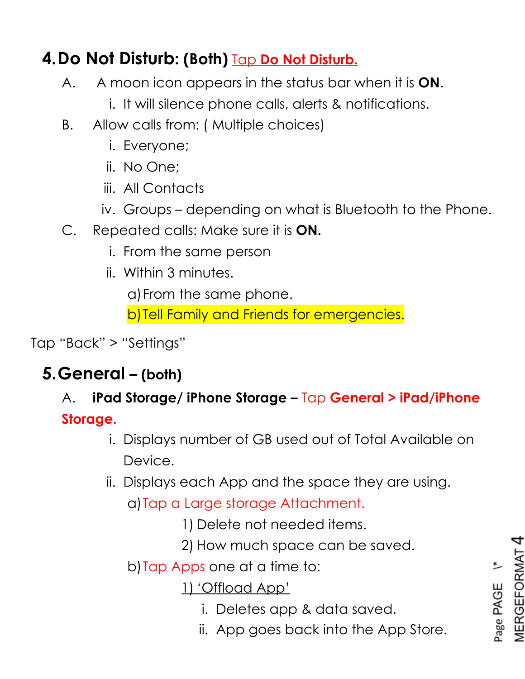# **4.Do Not Disturb: (Both)** Tap **Do Not Disturb.**

- A. A moon icon appears in the status bar when it is **ON**.
	- i. It will silence phone calls, alerts & notifications.
- B. Allow calls from: ( Multiple choices)
	- i. Everyone;
	- ii. No One;
	- iii. All Contacts
	- iv. Groups depending on what is Bluetooth to the Phone.
- C. Repeated calls: Make sure it is **ON.**
	- i. From the same person
	- ii. Within 3 minutes.

a)From the same phone.

b)Tell Family and Friends for emergencies.

Tap "Back" > "Settings"

# **5.General – (both)**

### A. **iPad Storage/ iPhone Storage –** Tap **General > iPad/iPhone Storage.**

- i. Displays number of GB used out of Total Available on Device.
- ii. Displays each App and the space they are using.
	- a)Tap a Large storage Attachment.

1) Delete not needed items.

- 2) How much space can be saved.
- b)Tap Apps one at a time to:

1) 'Offload App'

- i. Deletes app & data saved.
- ii. App goes back into the App Store.

**MERGEFORMAT** Page PAGE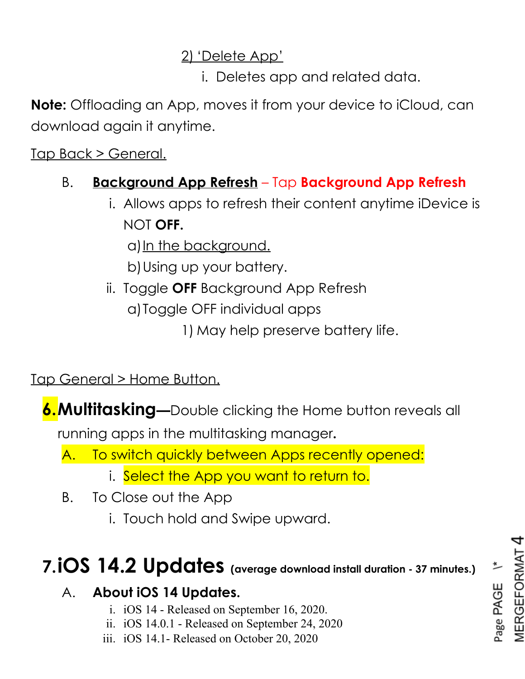#### 2) 'Delete App'

i. Deletes app and related data.

**Note:** Offloading an App, moves it from your device to iCloud, can download again it anytime.

Tap Back > General.

#### B. **Background App Refresh** – Tap **Background App Refresh**

i. Allows apps to refresh their content anytime iDevice is NOT **OFF.**

a) In the background.

b)Using up your battery.

ii. Toggle **OFF** Background App Refresh

a)Toggle OFF individual apps

1) May help preserve battery life.

Tap General > Home Button.

**6.Multitasking—**Double clicking the Home button reveals all

running apps in the multitasking manager**.**

A. To switch quickly between Apps recently opened:

- i. Select the App you want to return to.
- B. To Close out the App
	- i. Touch hold and Swipe upward.

# **7.iOS 14.2 Updates (average download install duration - 37 minutes.)**

#### A. **About iOS 14 Updates.**

- i. iOS 14 Released on September 16, 2020.
- ii. iOS 14.0.1 Released on September 24, 2020
- iii. iOS 14.1- Released on October 20, 2020

Page PAGE \\*<br>MERGEFORMAT 4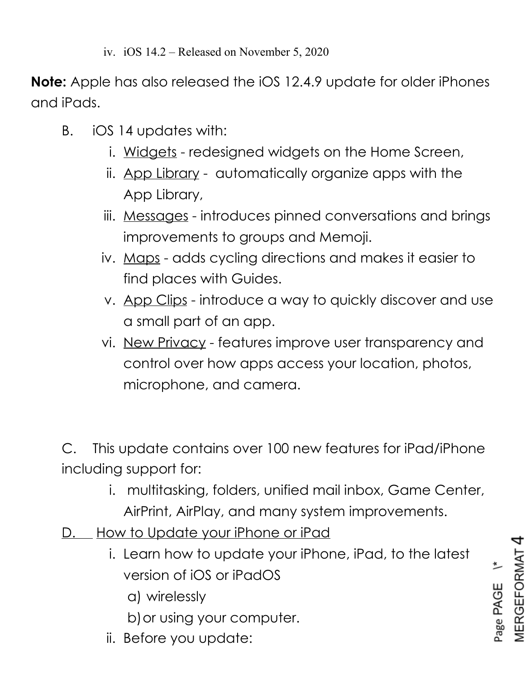**Note:** Apple has also released the iOS 12.4.9 update for older iPhones and iPads.

- B. iOS 14 updates with:
	- i. Widgets redesigned widgets on the Home Screen,
	- ii. App Library automatically organize apps with the App Library,
	- iii. Messages introduces pinned conversations and brings improvements to groups and Memoji.
	- iv. Maps adds cycling directions and makes it easier to find places with Guides.
	- v. App Clips introduce a way to quickly discover and use a small part of an app.
	- vi. New Privacy features improve user transparency and control over how apps access your location, photos, microphone, and camera.

C. This update contains over 100 new features for iPad/iPhone including support for:

- i. multitasking, folders, unified mail inbox, Game Center, AirPrint, AirPlay, and many system improvements.
- D. How to Update your iPhone or iPad
	- i. Learn how to update your iPhone, iPad, to the latest version of iOS or iPadOS
		- a) wirelessly
		- b)or using your computer.
	- ii. Before you update:

MERGEFORMAT Page PAGE<sup>\\*</sup>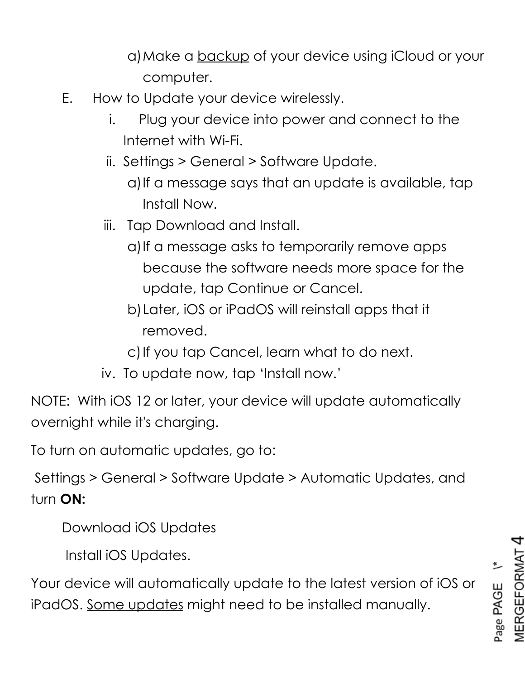a)Make a backup of your device using iCloud or your computer.

- E. How to Update your device wirelessly.
	- i. Plug your device into power and connect to the Internet with Wi-Fi.
	- ii. Settings > General > Software Update.
		- a)If a message says that an update is available, tap Install Now.
	- iii. Tap Download and Install.
		- a) If a message asks to temporarily remove apps because the software needs more space for the update, tap Continue or Cancel.
		- b)Later, iOS or iPadOS will reinstall apps that it removed.
		- c) If you tap Cancel, learn what to do next.
	- iv. To update now, tap 'Install now.'

NOTE: With iOS 12 or later, your device will update automatically overnight while it's charging.

To turn on automatic updates, go to:

Settings > General > Software Update > Automatic Updates, and turn **ON:**

Download iOS Updates

Install iOS Updates.

Your device will automatically update to the latest version of iOS or iPadOS. Some updates might need to be installed manually.

**MERGEFORMAT** Page PAGE<sup>Y\*</sup>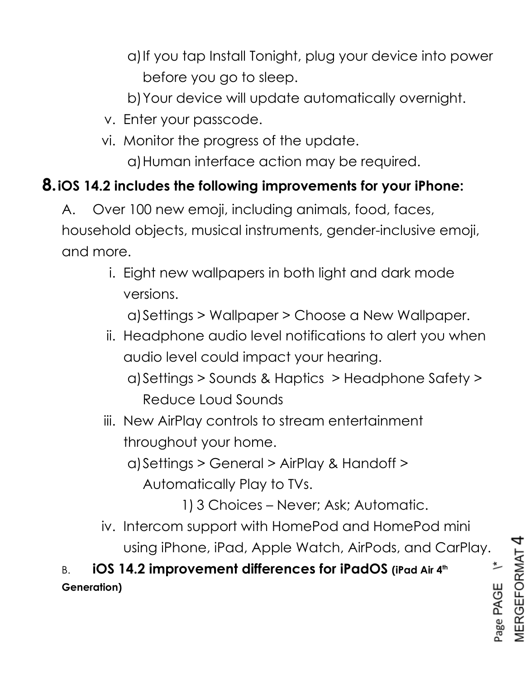- a)If you tap Install Tonight, plug your device into power before you go to sleep.
- b)Your device will update automatically overnight.
- v. Enter your passcode.
- vi. Monitor the progress of the update. a)Human interface action may be required.

#### **8.iOS 14.2 includes the following improvements for your iPhone:**

- A. Over 100 new emoji, including animals, food, faces, household objects, musical instruments, gender-inclusive emoji, and more.
	- i. Eight new wallpapers in both light and dark mode versions.

a)Settings > Wallpaper > Choose a New Wallpaper.

- ii. Headphone audio level notifications to alert you when audio level could impact your hearing.
	- a)Settings > Sounds & Haptics > Headphone Safety > Reduce Loud Sounds
- iii. New AirPlay controls to stream entertainment throughout your home.

a)Settings > General > AirPlay & Handoff > Automatically Play to TVs.

1) 3 Choices – Never; Ask; Automatic.

4

 $\overline{\phantom{a}}$ 

Page PAGE

MERGEFORMAT

iv. Intercom support with HomePod and HomePod mini using iPhone, iPad, Apple Watch, AirPods, and CarPlay.

B. **iOS 14.2 improvement differences for iPadOS (iPad Air 4th Generation)**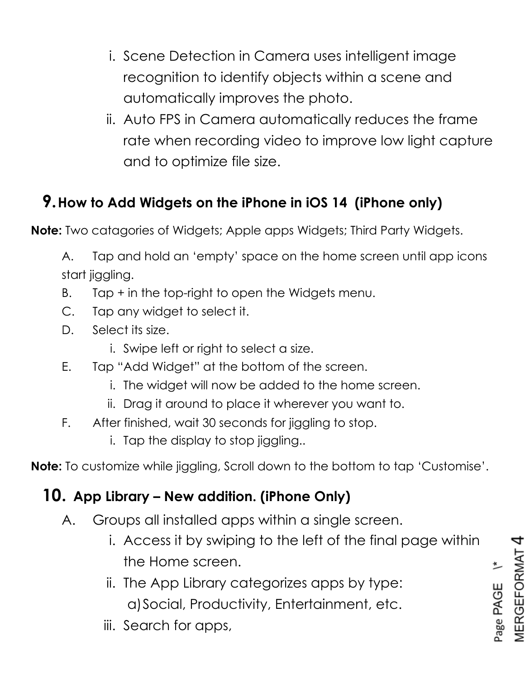- i. Scene Detection in Camera uses intelligent image recognition to identify objects within a scene and automatically improves the photo.
- ii. Auto FPS in Camera automatically reduces the frame rate when recording video to improve low light capture and to optimize file size.

### **9.How to Add Widgets on the iPhone in iOS 14 (iPhone only)**

**Note:** Two catagories of Widgets; Apple apps Widgets; Third Party Widgets.

A. Tap and hold an 'empty' space on the home screen until app icons start jiggling.

- B. Tap + in the top-right to open the Widgets menu.
- C. Tap any widget to select it.
- D. Select its size.
	- i. Swipe left or right to select a size.
- E. Tap "Add Widget" at the bottom of the screen.
	- i. The widget will now be added to the home screen.
	- ii. Drag it around to place it wherever you want to.
- F. After finished, wait 30 seconds for jiggling to stop.
	- i. Tap the display to stop jiggling..

**Note:** To customize while jiggling, Scroll down to the bottom to tap 'Customise'.

#### **10. App Library – New addition. (iPhone Only)**

- A. Groups all installed apps within a single screen.
	- i. Access it by swiping to the left of the final page within the Home screen.
	- ii. The App Library categorizes apps by type: a)Social, Productivity, Entertainment, etc.
	- iii. Search for apps,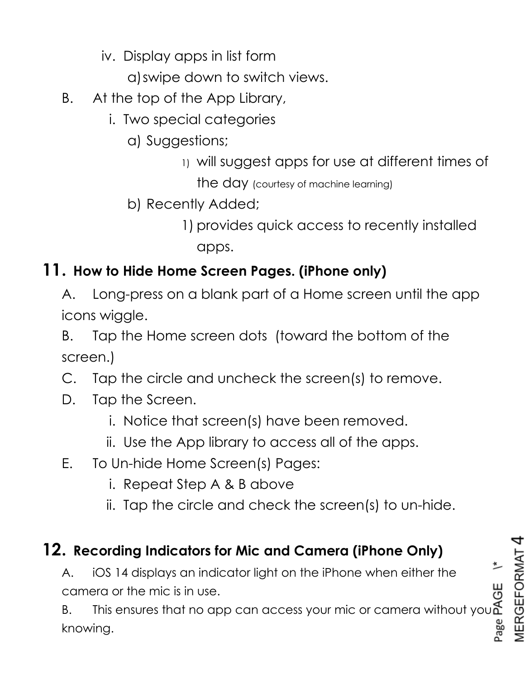- iv. Display apps in list form
	- a)swipe down to switch views.
- B. At the top of the App Library,
	- i. Two special categories
		- a) Suggestions;
			- 1) will suggest apps for use at different times of

the day (courtesy of machine learning)

- b) Recently Added;
	- 1) provides quick access to recently installed apps.

#### **11. How to Hide Home Screen Pages. (iPhone only)**

- A. Long-press on a blank part of a Home screen until the app icons wiggle.
- B. Tap the Home screen dots (toward the bottom of the screen.)
- C. Tap the circle and uncheck the screen(s) to remove.
- D. Tap the Screen.
	- i. Notice that screen(s) have been removed.
	- ii. Use the App library to access all of the apps.
- E. To Un-hide Home Screen(s) Pages:
	- i. Repeat Step A & B above
	- ii. Tap the circle and check the screen(s) to un-hide.

#### **12. Recording Indicators for Mic and Camera (iPhone Only)**

A. iOS 14 displays an indicator light on the iPhone when either the camera or the mic is in use.

B. This ensures that no app can access your mic or camera without you knowing.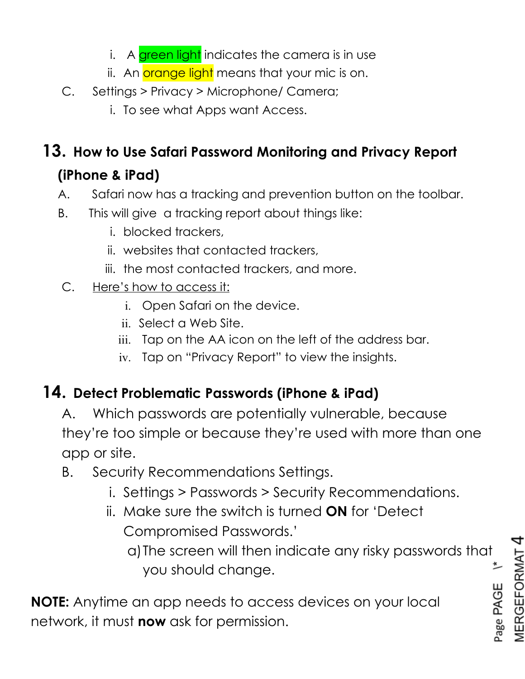- i. A green light indicates the camera is in use
- ii. An orange light means that your mic is on.
- C. Settings > Privacy > Microphone/ Camera;
	- i. To see what Apps want Access.

# **13. How to Use Safari Password Monitoring and Privacy Report (iPhone & iPad)**

- A. Safari now has a tracking and prevention button on the toolbar.
- B. This will give a tracking report about things like:
	- i. blocked trackers,
	- ii. websites that contacted trackers,
	- iii. the most contacted trackers, and more.
- C. Here's how to access it:
	- i. Open Safari on the device.
	- ii. Select a Web Site.
	- iii. Tap on the AA icon on the left of the address bar.
	- iv. Tap on "Privacy Report" to view the insights.

#### **14. Detect Problematic Passwords (iPhone & iPad)**

- A. Which passwords are potentially vulnerable, because they're too simple or because they're used with more than one app or site.
- B. Security Recommendations Settings.
	- i. Settings > Passwords > Security Recommendations.
	- ii. Make sure the switch is turned **ON** for 'Detect Compromised Passwords.'
		- a)The screen will then indicate any risky passwords that you should change.

**NOTE:** Anytime an app needs to access devices on your local network, it must **now** ask for permission.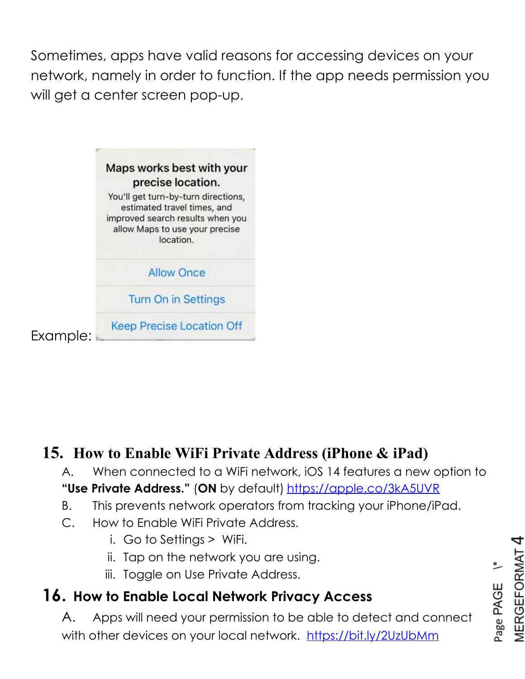Sometimes, apps have valid reasons for accessing devices on your network, namely in order to function. If the app needs permission you will get a center screen pop-up.

|          | Maps works best with your<br>precise location.                                                                                                        |
|----------|-------------------------------------------------------------------------------------------------------------------------------------------------------|
|          | You'll get turn-by-turn directions,<br>estimated travel times, and<br>improved search results when you<br>allow Maps to use your precise<br>location. |
|          | <b>Allow Once</b>                                                                                                                                     |
|          | <b>Turn On in Settings</b>                                                                                                                            |
| Example: | <b>Keep Precise Location Off</b>                                                                                                                      |

#### **15. How to Enable WiFi Private Address (iPhone & iPad)**

- A. When connected to a WiFi network, iOS 14 features a new option to **"Use Private Address."** (**ON** by default) <https://apple.co/3kA5UVR>
- B. This prevents network operators from tracking your iPhone/iPad.
- C. How to Enable WiFi Private Address.
	- i. Go to Settings > WiFi.
	- ii. Tap on the network you are using.
	- iii. Toggle on Use Private Address.

## **16. How to Enable Local Network Privacy Access**

A. Apps will need your permission to be able to detect and connect with other devices on your local network. <https://bit.ly/2UzUbMm>

MERGEFORMAT Page PAGE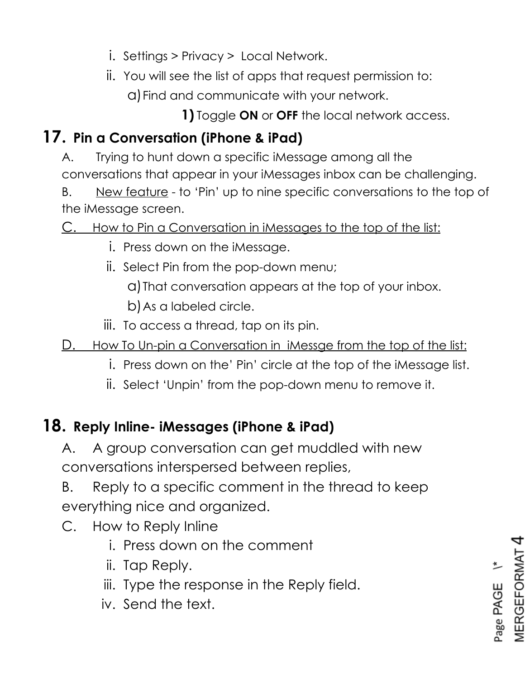- i. Settings > Privacy > Local Network.
- ii. You will see the list of apps that request permission to:
	- a)Find and communicate with your network.

**1)** Toggle **ON** or **OFF** the local network access.

## **17. Pin a Conversation (iPhone & iPad)**

- A. Trying to hunt down a specific iMessage among all the conversations that appear in your iMessages inbox can be challenging.
- B. New feature to 'Pin' up to nine specific conversations to the top of the iMessage screen.

C. How to Pin a Conversation in iMessages to the top of the list:

- i. Press down on the iMessage.
- ii. Select Pin from the pop-down menu;

a)That conversation appears at the top of your inbox.

b)As a labeled circle.

- iii. To access a thread, tap on its pin.
- D. How To Un-pin a Conversation in iMessge from the top of the list:
	- i. Press down on the' Pin' circle at the top of the iMessage list.
	- ii. Select 'Unpin' from the pop-down menu to remove it.

#### **18. Reply Inline- iMessages (iPhone & iPad)**

A. A group conversation can get muddled with new conversations interspersed between replies,

B. Reply to a specific comment in the thread to keep everything nice and organized.

- C. How to Reply Inline
	- i. Press down on the comment
	- ii. Tap Reply.
	- iii. Type the response in the Reply field.
	- iv. Send the text.

**MERGEFORMAT** Page PAGE<sup>\\*</sup>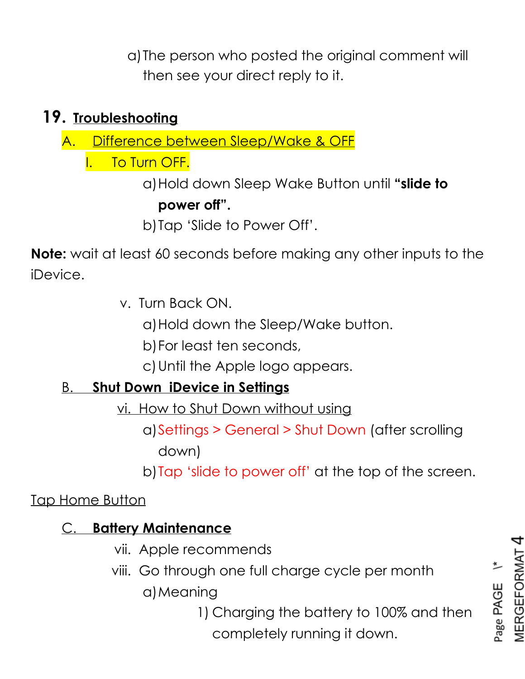a)The person who posted the original comment will then see your direct reply to it.

#### **19. Troubleshooting**

A. Difference between Sleep/Wake & OFF

I. To Turn OFF.

a)Hold down Sleep Wake Button until **"slide to power off".**

b)Tap 'Slide to Power Off'.

**Note:** wait at least 60 seconds before making any other inputs to the iDevice.

v. Turn Back ON.

a)Hold down the Sleep/Wake button.

b)For least ten seconds,

c)Until the Apple logo appears.

#### B. **Shut Down iDevice in Settings**

vi. How to Shut Down without using

a)Settings > General > Shut Down (after scrolling down)

b)Tap 'slide to power off' at the top of the screen.

Tap Home Button

#### C. **Battery Maintenance**

- vii. Apple recommends
- viii. Go through one full charge cycle per month a)Meaning

1) Charging the battery to 100% and then completely running it down.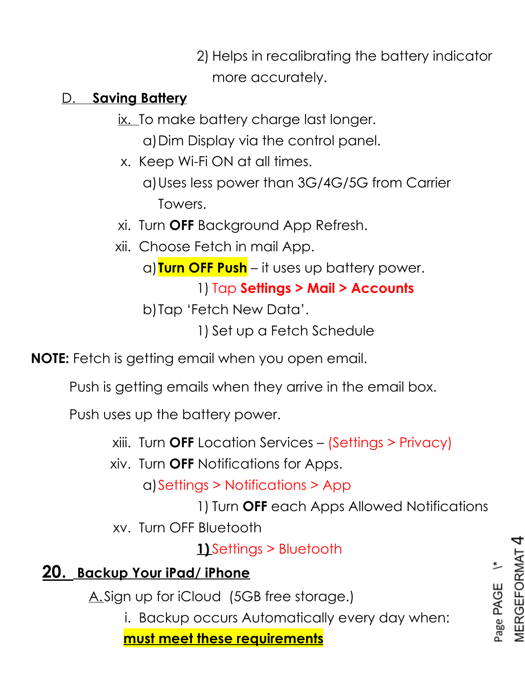2) Helps in recalibrating the battery indicator more accurately.

#### D. **Saving Battery**

ix. To make battery charge last longer.

a)Dim Display via the control panel.

x. Keep Wi-Fi ON at all times.

a)Uses less power than 3G/4G/5G from Carrier Towers.

- xi. Turn **OFF** Background App Refresh.
- xii. Choose Fetch in mail App.

a)**Turn OFF Push** – it uses up battery power.

1) Tap **Settings > Mail > Accounts**

b)Tap 'Fetch New Data'.

1) Set up a Fetch Schedule

**NOTE:** Fetch is getting email when you open email.

Push is getting emails when they arrive in the email box.

Push uses up the battery power.

xiii. Turn **OFF** Location Services – (Settings > Privacy)

xiv. Turn **OFF** Notifications for Apps.

a)Settings > Notifications > App

1) Turn **OFF** each Apps Allowed Notifications

xv. Turn OFF Bluetooth

**1)** Settings > Bluetooth

## **20. Backup Your iPad/ iPhone**

A. Sign up for iCloud (5GB free storage.)

i. Backup occurs Automatically every day when:

**must meet these requirements**

**MERGEFORMAT** Page PAGE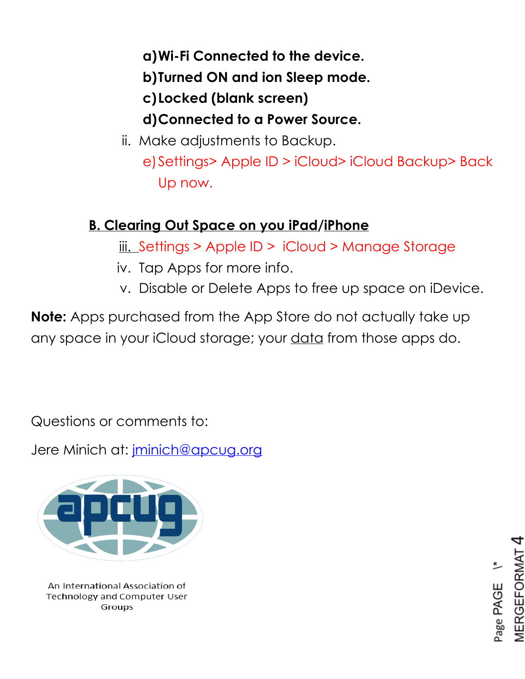#### **a)Wi-Fi Connected to the device.**

**b)Turned ON and ion Sleep mode.**

**c)Locked (blank screen)**

#### **d)Connected to a Power Source.**

ii. Make adjustments to Backup. e)Settings> Apple ID > iCloud> iCloud Backup> Back Up now.

## **B. Clearing Out Space on you iPad/iPhone**

iii. Settings > Apple ID > iCloud > Manage Storage

- iv. Tap Apps for more info.
- v. Disable or Delete Apps to free up space on iDevice.

**Note:** Apps purchased from the App Store do not actually take up any space in your iCloud storage; your data from those apps do.

Questions or comments to:

Jere Minich at: [jminich@apcug.org](mailto:jminich@apcug.org)



An International Association of **Technology and Computer User** Groups

EFORMA Page PAGE